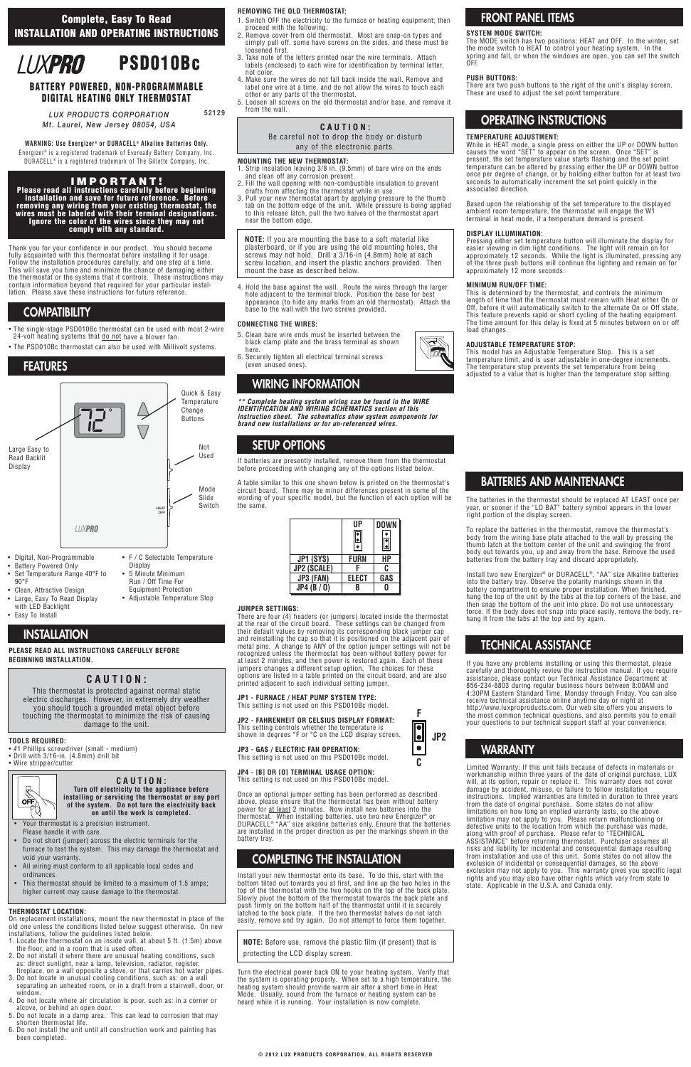Thank you for your confidence in our product. You should become fully acquainted with this thermostat before installing it for usage. Follow the installation procedures carefully, and one step at a time. This will save you time and minimize the chance of damaging either the thermostat or the systems that it controls. These instructions may contain information beyond that required for your particular installation. Please save these instructions for future reference

- #1 Phillips screwdriver (small medium)
- Drill with 3/16-in. (4.8mm) drill bit
- Wire stripper/cutter
- The single-stage PSD010Bc thermostat can be used with most 2-wire 24-volt heating systems that do not have a blower fan.
- The PSD010Bc thermostat can also be used with Millivolt systems.

**PLEASE READ ALL INSTRUCTIONS CAREFULLY BEFORE BEGINNING INSTALLATION.**

### **TOOLS REQUIRED:**

### **THERMOSTAT LOCATION:**

On replacement installations, mount the new thermostat in place of the old one unless the conditions listed below suggest otherwise. On new installations, follow the guidelines listed below.

- 1. Locate the thermostat on an inside wall, at about 5 ft. (1.5m) above the floor, and in a room that is used often.
- 2. Do not install it where there are unusual heating conditions, such as: direct sunlight, near a lamp, television, radiator, register, fireplace, on a wall opposite a stove, or that carries hot water pipes.
- 3. Do not locate in unusual cooling conditions, such as: on a wall separating an unheated room, or in a draft from a stairwell, door, or window.
- 4. Do not locate where air circulation is poor, such as: in a corner or alcove, or behind an open door.
- 5. Do not locate in a damp area. This can lead to corrosion that may shorten thermostat life.
- 6. Do not install the unit until all construction work and painting has been completed.

### **REMOVING THE OLD THERMOSTAT:**

- 1. Switch OFF the electricity to the furnace or heating equipment; then proceed with the following:
- 2. Remove cover from old thermostat. Most are snap-on types and simply pull off, some have screws on the sides, and these must be loosened first.
- 3. Take note of the letters printed near the wire terminals. Attach labels (enclosed) to each wire for identification by terminal letter, not color.
- 4. Make sure the wires do not fall back inside the wall. Remove and label one wire at a time, and do not allow the wires to touch each other or any parts of the thermostat.
- 5. Loosen all screws on the old thermostat and/or base, and remove it from the wall.

### **MOUNTING THE NEW THERMOSTAT:**

- 1. Strip insulation leaving 3/8 in. (9.5mm) of bare wire on the ends and clean off any corrosion present.
- 2. Fill the wall opening with non-combustible insulation to prevent drafts from affecting the thermostat while in use.
- 3. Pull your new thermostat apart by applying pressure to the thumb tab on the bottom edge of the unit. While pressure is being applied to this release latch, pull the two halves of the thermostat apart near the bottom edge.

4. Hold the base against the wall. Route the wires through the larger hole adjacent to the terminal block. Position the base for best appearance (to hide any marks from an old thermostat). Attach the base to the wall with the two screws provided.

### **CONNECTING THE WIRES:**

- 5. Clean bare wire ends must be inserted between the black clamp plate and the brass terminal as shown here.
- 6. Securely tighten all electrical terminal screws (even unused ones).

**\*\* Complete heating system wiring can be found in the WIRE IDENTIFICATION AND WIRING SCHEMATICS section of this instruction sheet. The schematics show system components for brand new installations or for un-referenced wires.**

If batteries are presently installed, remove them from the thermostat before proceeding with changing any of the options listed below.

A table similar to this one shown below is printed on the thermostat's circuit board. There may be minor differences present in some of the wording of your specific model, but the function of each option will be the same.

### **JUMPER SETTINGS:**

There are four (4) headers (or jumpers) located inside the thermostat at the rear of the circuit board. These settings can be changed from their default values by removing its corresponding black jumper cap and reinstalling the cap so that it is positioned on the adjacent pair of metal pins. A change to ANY of the option jumper settings will not be recognized unless the thermostat has been without battery power for at least 2 minutes, and then power is restored again. Each of these jumpers changes a different setup option. The choices for these options are listed in a table printed on the circuit board, and are also printed adjacent to each individual setting jumper.

### **JP1 - FURNACE / HEAT PUMP SYSTEM TYPE:**

This setting is not used on this PSD010Bc model.

**JP2 - FAHRENHEIT OR CELSIUS DISPLAY FORMAT:** This setting controls whether the temperature is shown in degrees °F or °C on the LCD display screen.

### **JP3 - GAS / ELECTRIC FAN OPERATION:**

This setting is not used on this PSD010Bc model.

#### **JP4 - [B] OR [O] TERMINAL USAGE OPTION:** This setting is not used on this PSD010Bc model.

Once an optional jumper setting has been performed as described above, please ensure that the thermostat has been without battery power for at least 2 minutes. Now install new batteries into the thermostat. When installing batteries, use two new Energizer® or DURACELL® "AA" size alkaline batteries only. Ensure that the batteries are installed in the proper direction as per the markings shown in the battery tray.

Install your new thermostat onto its base. To do this, start with the bottom tilted out towards you at first, and line up the two holes in the top of the thermostat with the two hooks on the top of the back plate. Slowly pivot the bottom of the thermostat towards the back plate and push firmly on the bottom half of the thermostat until it is securely latched to the back plate. If the two thermostat halves do not latch easily, remove and try again. Do not attempt to force them together.

**WARNING: Use Energizer ® or DURACELL ® Alkaline Batteries Only.** Energizer<sup>®</sup> is a registered trademark of Eveready Battery Company, Inc. DURACELL® is a registered trademark of The Gillette Company, Inc.

> Turn the electrical power back ON to your heating system. Verify that the system is operating properly. When set to a high temperature, the heating system should provide warm air after a short time in Heat Mode. Usually, sound from the furnace or heating system can be heard while it is running. Your installation is now complete.

### **SYSTEM MODE SWITCH:**

The MODE switch has two positions: HEAT and OFF. In the winter, set the mode switch to HEAT to control your heating system. In the spring and fall, or when the windows are open, you can set the switch OFF.

#### **PUSH BUTTONS:**

There are two push buttons to the right of the unit's display screen. These are used to adjust the set point temperature.

### **TEMPERATURE ADJUSTMENT:**

While in HEAT mode, a single press on either the UP or DOWN button causes the word "SET" to appear on the screen. Once "SET" is present, the set temperature value starts flashing and the set point temperature can be altered by pressing either the UP or DOWN button once per degree of change, or by holding either button for at least two seconds to automatically increment the set point quickly in the associated direction.

Based upon the relationship of the set temperature to the displayed ambient room temperature, the thermostat will engage the W1 terminal in heat mode, if a temperature demand is present.

### **DISPLAY ILLUMINATION:**

Pressing either set temperature button will illuminate the display for easier viewing in dim light conditions. The light will remain on for approximately 12 seconds. While the light is illuminated, pressing any of the three push buttons will continue the lighting and remain on for approximately 12 more seconds.

### **MINIMUM RUN/OFF TIME:**

This is determined by the thermostat, and controls the minimum length of time that the thermostat must remain with Heat either On or Off, before it will automatically switch to the alternate On or Off state. This feature prevents rapid or short cycling of the heating equipment. The time amount for this delay is fixed at 5 minutes between on or off load changes.

### **ADJUSTABLE TEMPERATURE STOP:**

This model has an Adjustable Temperature Stop. This is a set temperature limit, and is user adjustable in one-degree increments. The temperature stop prevents the set temperature from being adjusted to a value that is higher than the temperature stop setting.

The batteries in the thermostat should be replaced AT LEAST once per year, or sooner if the "LO BAT" battery symbol appears in the lower right portion of the display screen.

To replace the batteries in the thermostat, remove the thermostat's body from the wiring base plate attached to the wall by pressing the thumb latch at the bottom center of the unit and swinging the front body out towards you, up and away from the base. Remove the used batteries from the battery tray and discard appropriately.

Install two new Energizer® or DURACELL®, "AA" size Alkaline batteries into the battery tray. Observe the polarity markings shown in the battery compartment to ensure proper installation. When finished, hang the top of the unit by the tabs at the top corners of the base, and then snap the bottom of the unit into place. Do not use unnecessary force. If the body does not snap into place easily, remove the body, rehang it from the tabs at the top and try again.

If you have any problems installing or using this thermostat, please carefully and thoroughly review the instruction manual. If you require assistance, please contact our Technical Assistance Department at 856-234-8803 during regular business hours between 8:00AM and 4:30PM Eastern Standard Time, Monday through Friday. You can also receive technical assistance online anytime day or night at http://www.luxproproducts.com. Our web site offers you answers to the most common technical questions, and also permits you to email your questions to our technical support staff at your convenience.

Limited Warranty: If this unit fails because of defects in materials or workmanship within three years of the date of original purchase, LUX will, at its option, repair or replace it. This warranty does not cover damage by accident, misuse, or failure to follow installation instructions. Implied warranties are limited in duration to three years from the date of original purchase. Some states do not allow limitations on how long an implied warranty lasts, so the above limitation may not apply to you. Please return malfunctioning or defective units to the location from which the purchase was made, along with proof of purchase. Please refer to "TECHNICAL ASSISTANCE" before returning thermostat. Purchaser assumes all risks and liability for incidental and consequential damage resulting from installation and use of this unit. Some states do not allow the exclusion of incidental or consequential damages, so the above exclusion may not apply to you. This warranty gives you specific legal rights and you may also have other rights which vary from state to state. Applicable in the U.S.A. and Canada only.

**Complete, Easy To Read INSTALLATION AND OPERATING INSTRUCTIONS**



#### **IMPORTANT! Please read all instructions carefully before beginning**

**installation and save for future reference. Before removing any wiring from your existing thermostat, the wires must be labeled with their terminal designations. Ignore the color of the wires since they may not comply with any standard.**

### **BATTERY POWERED, NON-PROGRAMMABLE DIGITAL HEATING ONLY THERMOSTAT**

*LUX PRODUCTS CORPORATION Mt. Laurel, New Jersey 08054, USA*  **52129**

## **COMPATIBILITY**

# **WIRING INFORMATION**

### **FEATURES**

- Digital, Non-Programmable
- Battery Powered Only
- Set Temperature Range 40°F to 90°F
- Clean, Attractive Design • Large, Easy To Read Display
- with LED Backlight
- Easy To Install

| • F / C Selectable Temperature<br>Display                    |  |
|--------------------------------------------------------------|--|
| • 5 Minute Minimum<br>Run / Off Time For                     |  |
| <b>Equipment Protection</b><br>• Adjustable Temperature Stop |  |





# Run / Off Time For Equipment Protection



# **INSTALLATION**

# **SETUP OPTIONS**

# **FRONT PANEL ITEMS**

# **COMPLETING THE INSTALLATION**

### **OPERATING INSTRUCTIONS**

## **TECHNICAL ASSISTANCE**

## **BATTERIES AND MAINTENANCE**

# **WARRANTY**

### **CAUTION:**

This thermostat is protected against normal static electric discharges. However, in extremely dry weather you should touch a grounded metal object before touching the thermostat to minimize the risk of causing damage to the unit.

### **CAUTION:** Be careful not to drop the body or disturb any of the electronic parts.

**NOTE:** If you are mounting the base to a soft material like plasterboard, or if you are using the old mounting holes, the screws may not hold. Drill a 3/16-in (4.8mm) hole at each screw location, and insert the plastic anchors provided. Then mount the base as described below.



**NOTE:** Before use, remove the plastic film (if present) that is protecting the LCD display screen.



**Turn off electricity to the appliance before installing or servicing the thermostat or any part of the system. Do not turn the electricity back on until the work is completed.**

- Your thermostat is a precision instrument. Please handle it with care.
- Do not short (jumper) across the electric terminals for the furnace to test the system. This may damage the thermostat and void your warranty.
- All wiring must conform to all applicable local codes and ordinances.
- This thermostat should be limited to a maximum of 1.5 amps; higher current may cause damage to the thermostat.

|                    | UP           | <b>DOWN</b> |
|--------------------|--------------|-------------|
| JP1 (SYS)          | FURN         | HР          |
| <b>JP2 (SCALE)</b> |              | C           |
| JP3 (FAN)          | <b>ELECT</b> | GAS         |
| JP4(B/O)           | R            |             |

**JP2**

**F**

<u>le</u>  $\bullet$ 

**C**